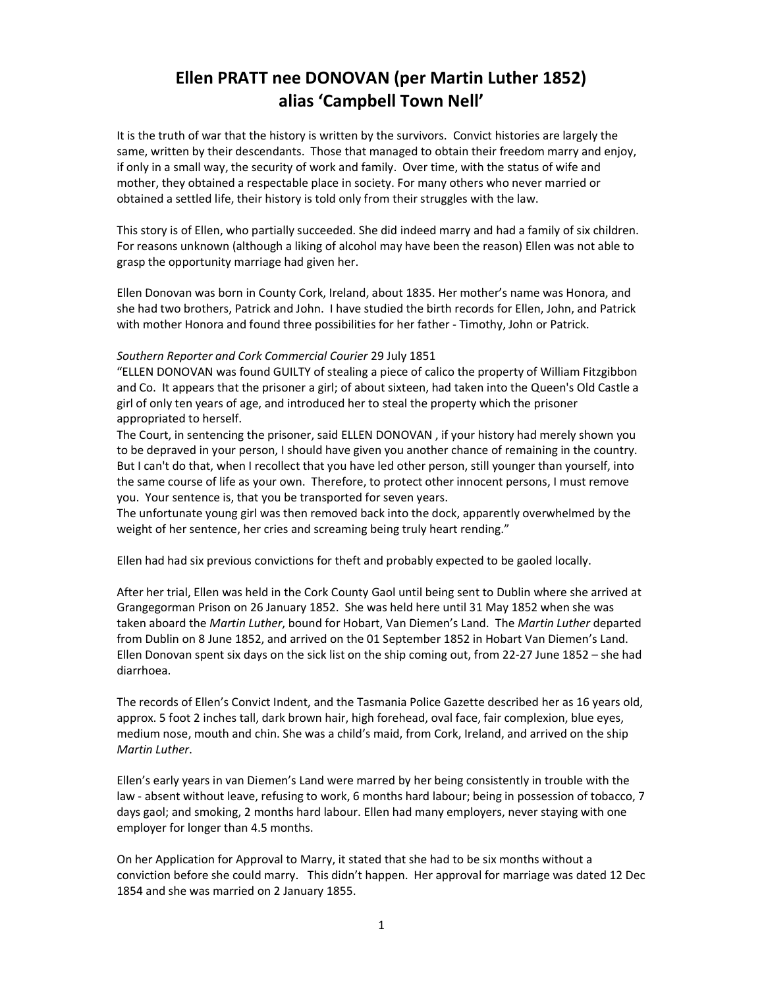## Ellen PRATT nee DONOVAN (per Martin Luther 1852) alias 'Campbell Town Nell'

It is the truth of war that the history is written by the survivors. Convict histories are largely the same, written by their descendants. Those that managed to obtain their freedom marry and enjoy, if only in a small way, the security of work and family. Over time, with the status of wife and mother, they obtained a respectable place in society. For many others who never married or obtained a settled life, their history is told only from their struggles with the law.

This story is of Ellen, who partially succeeded. She did indeed marry and had a family of six children. For reasons unknown (although a liking of alcohol may have been the reason) Ellen was not able to grasp the opportunity marriage had given her.

Ellen Donovan was born in County Cork, Ireland, about 1835. Her mother's name was Honora, and she had two brothers, Patrick and John. I have studied the birth records for Ellen, John, and Patrick with mother Honora and found three possibilities for her father - Timothy, John or Patrick.

## Southern Reporter and Cork Commercial Courier 29 July 1851

"ELLEN DONOVAN was found GUILTY of stealing a piece of calico the property of William Fitzgibbon and Co. It appears that the prisoner a girl; of about sixteen, had taken into the Queen's Old Castle a girl of only ten years of age, and introduced her to steal the property which the prisoner appropriated to herself.

The Court, in sentencing the prisoner, said ELLEN DONOVAN , if your history had merely shown you to be depraved in your person, I should have given you another chance of remaining in the country. But I can't do that, when I recollect that you have led other person, still younger than yourself, into the same course of life as your own. Therefore, to protect other innocent persons, I must remove you. Your sentence is, that you be transported for seven years.

The unfortunate young girl was then removed back into the dock, apparently overwhelmed by the weight of her sentence, her cries and screaming being truly heart rending."

Ellen had had six previous convictions for theft and probably expected to be gaoled locally.

After her trial, Ellen was held in the Cork County Gaol until being sent to Dublin where she arrived at Grangegorman Prison on 26 January 1852. She was held here until 31 May 1852 when she was taken aboard the Martin Luther, bound for Hobart, Van Diemen's Land. The Martin Luther departed from Dublin on 8 June 1852, and arrived on the 01 September 1852 in Hobart Van Diemen's Land. Ellen Donovan spent six days on the sick list on the ship coming out, from 22-27 June 1852 – she had diarrhoea.

The records of Ellen's Convict Indent, and the Tasmania Police Gazette described her as 16 years old, approx. 5 foot 2 inches tall, dark brown hair, high forehead, oval face, fair complexion, blue eyes, medium nose, mouth and chin. She was a child's maid, from Cork, Ireland, and arrived on the ship Martin Luther.

Ellen's early years in van Diemen's Land were marred by her being consistently in trouble with the law - absent without leave, refusing to work, 6 months hard labour; being in possession of tobacco, 7 days gaol; and smoking, 2 months hard labour. Ellen had many employers, never staying with one employer for longer than 4.5 months.

On her Application for Approval to Marry, it stated that she had to be six months without a conviction before she could marry. This didn't happen. Her approval for marriage was dated 12 Dec 1854 and she was married on 2 January 1855.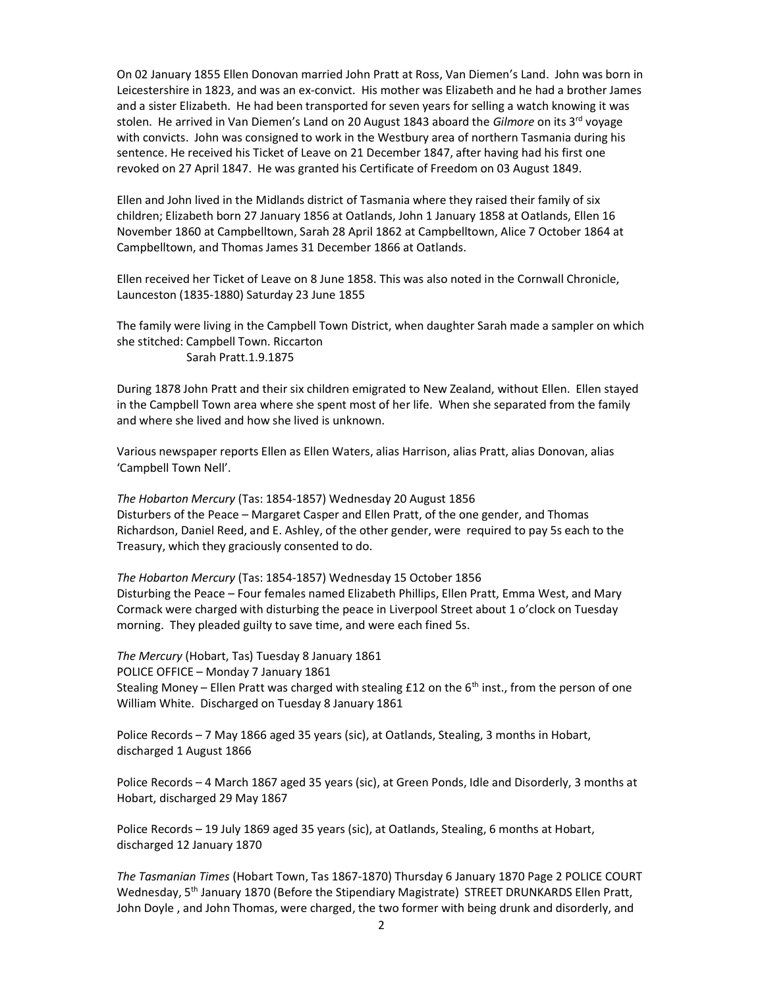On 02 January 1855 Ellen Donovan married John Pratt at Ross, Van Diemen's Land. John was born in Leicestershire in 1823, and was an ex-convict. His mother was Elizabeth and he had a brother James and a sister Elizabeth. He had been transported for seven years for selling a watch knowing it was stolen. He arrived in Van Diemen's Land on 20 August 1843 aboard the Gilmore on its 3<sup>rd</sup> voyage with convicts. John was consigned to work in the Westbury area of northern Tasmania during his sentence. He received his Ticket of Leave on 21 December 1847, after having had his first one revoked on 27 April 1847. He was granted his Certificate of Freedom on 03 August 1849.

Ellen and John lived in the Midlands district of Tasmania where they raised their family of six children; Elizabeth born 27 January 1856 at Oatlands, John 1 January 1858 at Oatlands, Ellen 16 November 1860 at Campbelltown, Sarah 28 April 1862 at Campbelltown, Alice 7 October 1864 at Campbelltown, and Thomas James 31 December 1866 at Oatlands.

Ellen received her Ticket of Leave on 8 June 1858. This was also noted in the Cornwall Chronicle, Launceston (1835-1880) Saturday 23 June 1855

The family were living in the Campbell Town District, when daughter Sarah made a sampler on which she stitched: Campbell Town. Riccarton Sarah Pratt.1.9.1875

During 1878 John Pratt and their six children emigrated to New Zealand, without Ellen. Ellen stayed in the Campbell Town area where she spent most of her life. When she separated from the family and where she lived and how she lived is unknown.

Various newspaper reports Ellen as Ellen Waters, alias Harrison, alias Pratt, alias Donovan, alias 'Campbell Town Nell'.

The Hobarton Mercury (Tas: 1854-1857) Wednesday 20 August 1856 Disturbers of the Peace – Margaret Casper and Ellen Pratt, of the one gender, and Thomas Richardson, Daniel Reed, and E. Ashley, of the other gender, were required to pay 5s each to the Treasury, which they graciously consented to do.

The Hobarton Mercury (Tas: 1854-1857) Wednesday 15 October 1856 Disturbing the Peace – Four females named Elizabeth Phillips, Ellen Pratt, Emma West, and Mary Cormack were charged with disturbing the peace in Liverpool Street about 1 o'clock on Tuesday morning. They pleaded guilty to save time, and were each fined 5s.

The Mercury (Hobart, Tas) Tuesday 8 January 1861 POLICE OFFICE – Monday 7 January 1861 Stealing Money – Ellen Pratt was charged with stealing £12 on the 6<sup>th</sup> inst., from the person of one William White. Discharged on Tuesday 8 January 1861

Police Records – 7 May 1866 aged 35 years (sic), at Oatlands, Stealing, 3 months in Hobart, discharged 1 August 1866

Police Records – 4 March 1867 aged 35 years (sic), at Green Ponds, Idle and Disorderly, 3 months at Hobart, discharged 29 May 1867

Police Records – 19 July 1869 aged 35 years (sic), at Oatlands, Stealing, 6 months at Hobart, discharged 12 January 1870

The Tasmanian Times (Hobart Town, Tas 1867-1870) Thursday 6 January 1870 Page 2 POLICE COURT Wednesday, 5<sup>th</sup> January 1870 (Before the Stipendiary Magistrate) STREET DRUNKARDS Ellen Pratt, John Doyle , and John Thomas, were charged, the two former with being drunk and disorderly, and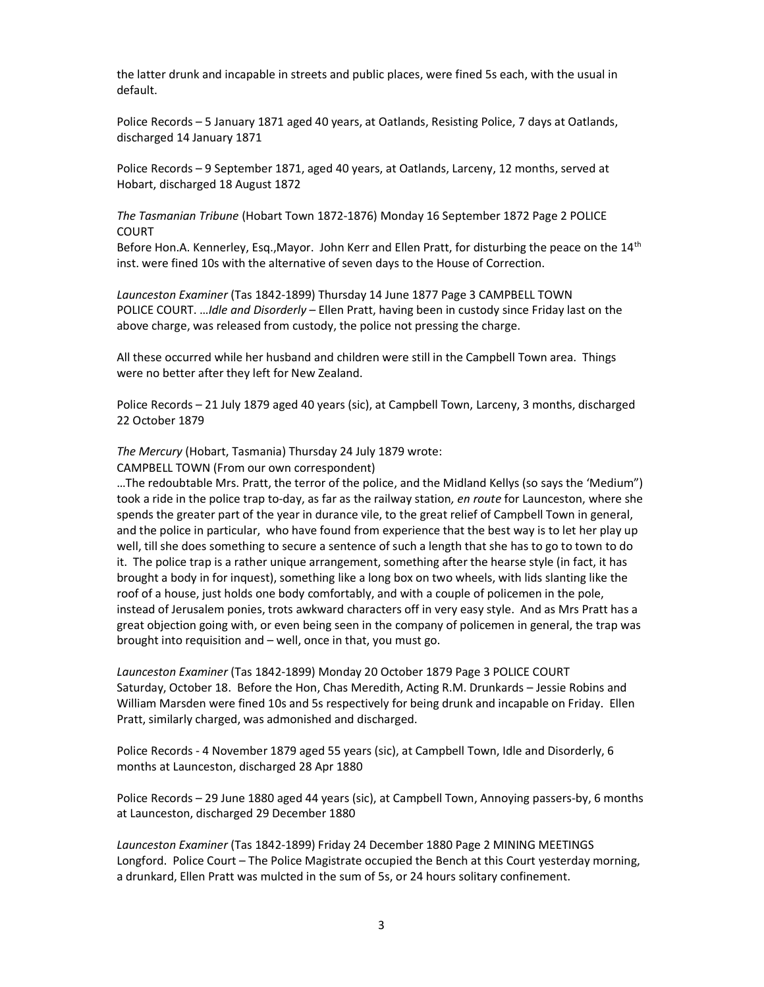the latter drunk and incapable in streets and public places, were fined 5s each, with the usual in default.

Police Records – 5 January 1871 aged 40 years, at Oatlands, Resisting Police, 7 days at Oatlands, discharged 14 January 1871

Police Records – 9 September 1871, aged 40 years, at Oatlands, Larceny, 12 months, served at Hobart, discharged 18 August 1872

The Tasmanian Tribune (Hobart Town 1872-1876) Monday 16 September 1872 Page 2 POLICE COURT

Before Hon.A. Kennerley, Esq., Mayor. John Kerr and Ellen Pratt, for disturbing the peace on the 14<sup>th</sup> inst. were fined 10s with the alternative of seven days to the House of Correction.

Launceston Examiner (Tas 1842-1899) Thursday 14 June 1877 Page 3 CAMPBELL TOWN POLICE COURT. ...Idle and Disorderly - Ellen Pratt, having been in custody since Friday last on the above charge, was released from custody, the police not pressing the charge.

All these occurred while her husband and children were still in the Campbell Town area. Things were no better after they left for New Zealand.

Police Records – 21 July 1879 aged 40 years (sic), at Campbell Town, Larceny, 3 months, discharged 22 October 1879

The Mercury (Hobart, Tasmania) Thursday 24 July 1879 wrote: CAMPBELL TOWN (From our own correspondent)

…The redoubtable Mrs. Pratt, the terror of the police, and the Midland Kellys (so says the 'Medium") took a ride in the police trap to-day, as far as the railway station, en route for Launceston, where she spends the greater part of the year in durance vile, to the great relief of Campbell Town in general, and the police in particular, who have found from experience that the best way is to let her play up well, till she does something to secure a sentence of such a length that she has to go to town to do it. The police trap is a rather unique arrangement, something after the hearse style (in fact, it has brought a body in for inquest), something like a long box on two wheels, with lids slanting like the roof of a house, just holds one body comfortably, and with a couple of policemen in the pole, instead of Jerusalem ponies, trots awkward characters off in very easy style. And as Mrs Pratt has a great objection going with, or even being seen in the company of policemen in general, the trap was brought into requisition and – well, once in that, you must go.

Launceston Examiner (Tas 1842-1899) Monday 20 October 1879 Page 3 POLICE COURT Saturday, October 18. Before the Hon, Chas Meredith, Acting R.M. Drunkards – Jessie Robins and William Marsden were fined 10s and 5s respectively for being drunk and incapable on Friday. Ellen Pratt, similarly charged, was admonished and discharged.

Police Records - 4 November 1879 aged 55 years (sic), at Campbell Town, Idle and Disorderly, 6 months at Launceston, discharged 28 Apr 1880

Police Records – 29 June 1880 aged 44 years (sic), at Campbell Town, Annoying passers-by, 6 months at Launceston, discharged 29 December 1880

Launceston Examiner (Tas 1842-1899) Friday 24 December 1880 Page 2 MINING MEETINGS Longford. Police Court – The Police Magistrate occupied the Bench at this Court yesterday morning, a drunkard, Ellen Pratt was mulcted in the sum of 5s, or 24 hours solitary confinement.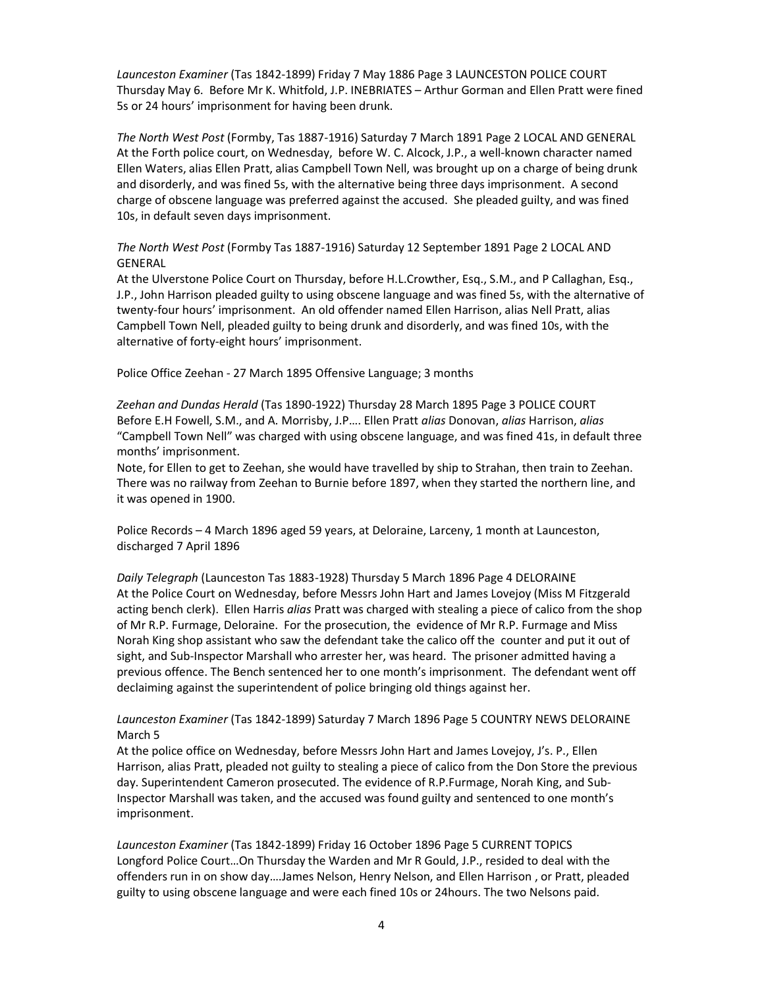Launceston Examiner (Tas 1842-1899) Friday 7 May 1886 Page 3 LAUNCESTON POLICE COURT Thursday May 6. Before Mr K. Whitfold, J.P. INEBRIATES – Arthur Gorman and Ellen Pratt were fined 5s or 24 hours' imprisonment for having been drunk.

The North West Post (Formby, Tas 1887-1916) Saturday 7 March 1891 Page 2 LOCAL AND GENERAL At the Forth police court, on Wednesday, before W. C. Alcock, J.P., a well-known character named Ellen Waters, alias Ellen Pratt, alias Campbell Town Nell, was brought up on a charge of being drunk and disorderly, and was fined 5s, with the alternative being three days imprisonment. A second charge of obscene language was preferred against the accused. She pleaded guilty, and was fined 10s, in default seven days imprisonment.

The North West Post (Formby Tas 1887-1916) Saturday 12 September 1891 Page 2 LOCAL AND GENERAL

At the Ulverstone Police Court on Thursday, before H.L.Crowther, Esq., S.M., and P Callaghan, Esq., J.P., John Harrison pleaded guilty to using obscene language and was fined 5s, with the alternative of twenty-four hours' imprisonment. An old offender named Ellen Harrison, alias Nell Pratt, alias Campbell Town Nell, pleaded guilty to being drunk and disorderly, and was fined 10s, with the alternative of forty-eight hours' imprisonment.

Police Office Zeehan - 27 March 1895 Offensive Language; 3 months

Zeehan and Dundas Herald (Tas 1890-1922) Thursday 28 March 1895 Page 3 POLICE COURT Before E.H Fowell, S.M., and A. Morrisby, J.P.... Ellen Pratt *alias* Donovan, *alias* Harrison, *alias* "Campbell Town Nell" was charged with using obscene language, and was fined 41s, in default three months' imprisonment.

Note, for Ellen to get to Zeehan, she would have travelled by ship to Strahan, then train to Zeehan. There was no railway from Zeehan to Burnie before 1897, when they started the northern line, and it was opened in 1900.

Police Records – 4 March 1896 aged 59 years, at Deloraine, Larceny, 1 month at Launceston, discharged 7 April 1896

Daily Telegraph (Launceston Tas 1883-1928) Thursday 5 March 1896 Page 4 DELORAINE At the Police Court on Wednesday, before Messrs John Hart and James Lovejoy (Miss M Fitzgerald acting bench clerk). Ellen Harris alias Pratt was charged with stealing a piece of calico from the shop of Mr R.P. Furmage, Deloraine. For the prosecution, the evidence of Mr R.P. Furmage and Miss Norah King shop assistant who saw the defendant take the calico off the counter and put it out of sight, and Sub-Inspector Marshall who arrester her, was heard. The prisoner admitted having a previous offence. The Bench sentenced her to one month's imprisonment. The defendant went off declaiming against the superintendent of police bringing old things against her.

Launceston Examiner (Tas 1842-1899) Saturday 7 March 1896 Page 5 COUNTRY NEWS DELORAINE March 5

At the police office on Wednesday, before Messrs John Hart and James Lovejoy, J's. P., Ellen Harrison, alias Pratt, pleaded not guilty to stealing a piece of calico from the Don Store the previous day. Superintendent Cameron prosecuted. The evidence of R.P.Furmage, Norah King, and Sub-Inspector Marshall was taken, and the accused was found guilty and sentenced to one month's imprisonment.

Launceston Examiner (Tas 1842-1899) Friday 16 October 1896 Page 5 CURRENT TOPICS Longford Police Court…On Thursday the Warden and Mr R Gould, J.P., resided to deal with the offenders run in on show day….James Nelson, Henry Nelson, and Ellen Harrison , or Pratt, pleaded guilty to using obscene language and were each fined 10s or 24hours. The two Nelsons paid.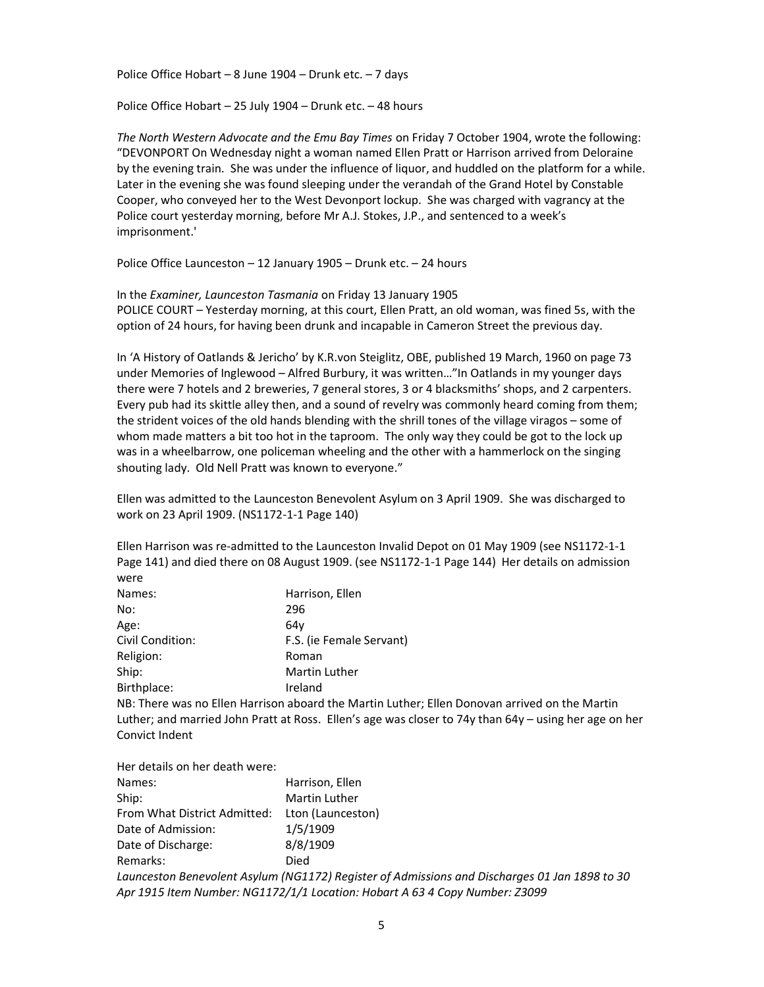Police Office Hobart – 8 June 1904 – Drunk etc. – 7 days

Police Office Hobart – 25 July 1904 – Drunk etc. – 48 hours

The North Western Advocate and the Emu Bay Times on Friday 7 October 1904, wrote the following: "DEVONPORT On Wednesday night a woman named Ellen Pratt or Harrison arrived from Deloraine by the evening train. She was under the influence of liquor, and huddled on the platform for a while. Later in the evening she was found sleeping under the verandah of the Grand Hotel by Constable Cooper, who conveyed her to the West Devonport lockup. She was charged with vagrancy at the Police court yesterday morning, before Mr A.J. Stokes, J.P., and sentenced to a week's imprisonment.'

Police Office Launceston – 12 January 1905 – Drunk etc. – 24 hours

In the Examiner, Launceston Tasmania on Friday 13 January 1905 POLICE COURT – Yesterday morning, at this court, Ellen Pratt, an old woman, was fined 5s, with the option of 24 hours, for having been drunk and incapable in Cameron Street the previous day.

In 'A History of Oatlands & Jericho' by K.R.von Steiglitz, OBE, published 19 March, 1960 on page 73 under Memories of Inglewood – Alfred Burbury, it was written…"In Oatlands in my younger days there were 7 hotels and 2 breweries, 7 general stores, 3 or 4 blacksmiths' shops, and 2 carpenters. Every pub had its skittle alley then, and a sound of revelry was commonly heard coming from them; the strident voices of the old hands blending with the shrill tones of the village viragos – some of whom made matters a bit too hot in the taproom. The only way they could be got to the lock up was in a wheelbarrow, one policeman wheeling and the other with a hammerlock on the singing shouting lady. Old Nell Pratt was known to everyone."

Ellen was admitted to the Launceston Benevolent Asylum on 3 April 1909. She was discharged to work on 23 April 1909. (NS1172-1-1 Page 140)

Ellen Harrison was re-admitted to the Launceston Invalid Depot on 01 May 1909 (see NS1172-1-1 Page 141) and died there on 08 August 1909. (see NS1172-1-1 Page 144) Her details on admission were

| Names:           | Harrison, Ellen          |
|------------------|--------------------------|
| No:              | 296                      |
| Age:             | 64v                      |
| Civil Condition: | F.S. (ie Female Servant) |
| Religion:        | Roman                    |
| Ship:            | Martin Luther            |
| Birthplace:      | Ireland                  |

NB: There was no Ellen Harrison aboard the Martin Luther; Ellen Donovan arrived on the Martin Luther; and married John Pratt at Ross. Ellen's age was closer to 74y than 64y – using her age on her Convict Indent

Her details on her death were:

| Names:                       | Harrison, Ellen                                                                               |
|------------------------------|-----------------------------------------------------------------------------------------------|
| Ship:                        | Martin Luther                                                                                 |
| From What District Admitted: | Lton (Launceston)                                                                             |
| Date of Admission:           | 1/5/1909                                                                                      |
| Date of Discharge:           | 8/8/1909                                                                                      |
| Remarks:                     | Died                                                                                          |
|                              | Launceston Benevolent Asylum (NG1172) Register of Admissions and Discharges 01 Jan 1898 to 30 |
|                              | Apr 1915 Item Number: NG1172/1/1 Location: Hobart A 63 4 Copy Number: Z3099                   |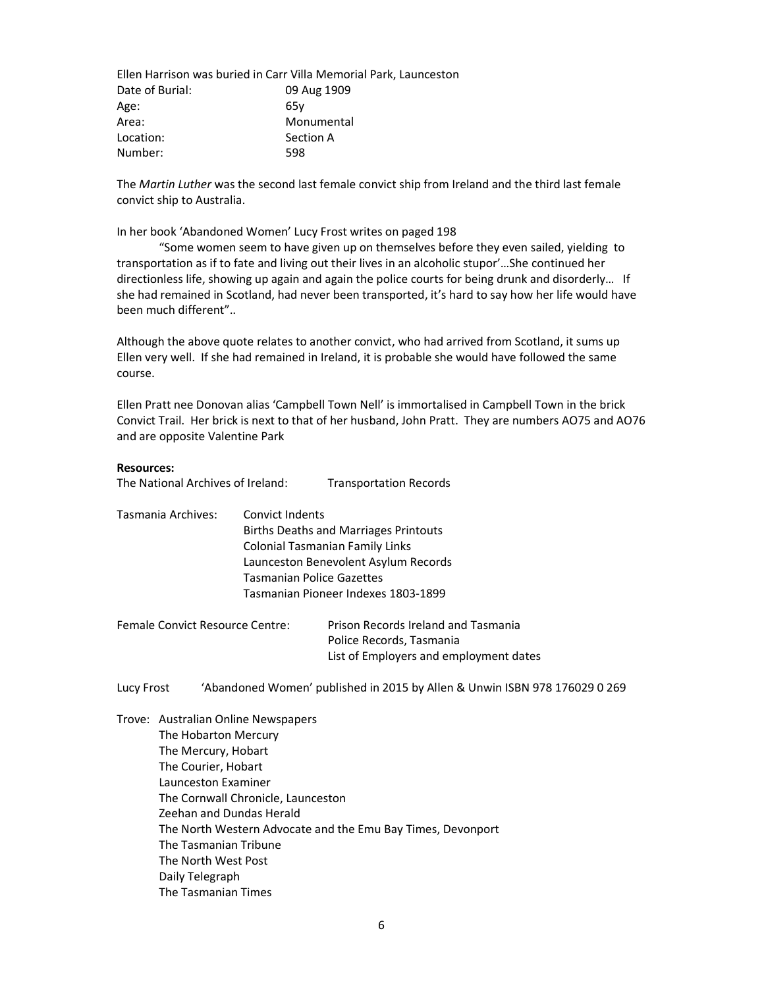Ellen Harrison was buried in Carr Villa Memorial Park, Launceston Date of Burial: 09 Aug 1909 Age: 65y Area: Monumental Location: Section A Number: 598

The Martin Luther was the second last female convict ship from Ireland and the third last female convict ship to Australia.

In her book 'Abandoned Women' Lucy Frost writes on paged 198

 "Some women seem to have given up on themselves before they even sailed, yielding to transportation as if to fate and living out their lives in an alcoholic stupor'…She continued her directionless life, showing up again and again the police courts for being drunk and disorderly… If she had remained in Scotland, had never been transported, it's hard to say how her life would have been much different"..

Although the above quote relates to another convict, who had arrived from Scotland, it sums up Ellen very well. If she had remained in Ireland, it is probable she would have followed the same course.

Ellen Pratt nee Donovan alias 'Campbell Town Nell' is immortalised in Campbell Town in the brick Convict Trail. Her brick is next to that of her husband, John Pratt. They are numbers AO75 and AO76 and are opposite Valentine Park

## Resources:

The National Archives of Ireland: Transportation Records

| Tasmania Archives: | <b>Convict Indents</b>                       |
|--------------------|----------------------------------------------|
|                    | <b>Births Deaths and Marriages Printouts</b> |
|                    | <b>Colonial Tasmanian Family Links</b>       |
|                    | Launceston Benevolent Asylum Records         |
|                    | <b>Tasmanian Police Gazettes</b>             |
|                    | Tasmanian Pioneer Indexes 1803-1899          |

| Female Convict Resource Centre: | <b>Prison Records Ireland and Tasmania</b> |
|---------------------------------|--------------------------------------------|
|                                 | Police Records. Tasmania                   |
|                                 | List of Employers and employment dates     |

Lucy Frost 'Abandoned Women' published in 2015 by Allen & Unwin ISBN 978 176029 0 269

Trove: Australian Online Newspapers The Hobarton Mercury The Mercury, Hobart The Courier, Hobart Launceston Examiner The Cornwall Chronicle, Launceston Zeehan and Dundas Herald The North Western Advocate and the Emu Bay Times, Devonport The Tasmanian Tribune The North West Post Daily Telegraph The Tasmanian Times